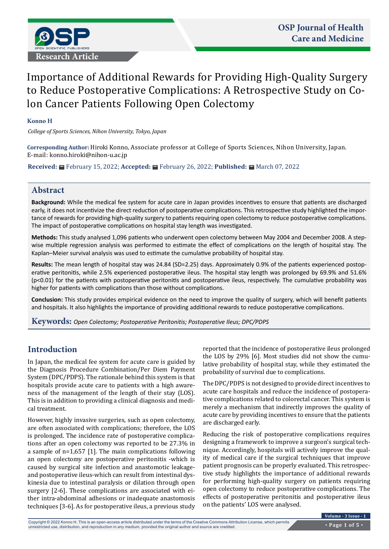

# Importance of Additional Rewards for Providing High-Quality Surgery to Reduce Postoperative Complications: A Retrospective Study on Colon Cancer Patients Following Open Colectomy

#### **Konno H**

*College of Sports Sciences, Nihon University, Tokyo, Japan*

**Corresponding Author:** Hiroki Konno, Associate professor at College of Sports Sciences, Nihon University, Japan. E-mail: [konno.hiroki@nihon-u.ac.jp](about:blank)

**Received:** February 15, 2022; **Accepted:** February 26, 2022; **Published:** March 07, 2022

#### **Abstract**

**Background:** While the medical fee system for acute care in Japan provides incentives to ensure that patients are discharged early, it does not incentivize the direct reduction of postoperative complications. This retrospective study highlighted the importance of rewards for providing high-quality surgery to patients requiring open colectomy to reduce postoperative complications. The impact of postoperative complications on hospital stay length was investigated.

**Methods:** This study analysed 1,096 patients who underwent open colectomy between May 2004 and December 2008. A stepwise multiple regression analysis was performed to estimate the effect of complications on the length of hospital stay. The Kaplan–Meier survival analysis was used to estimate the cumulative probability of hospital stay.

**Results:** The mean length of hospital stay was 24.84 (SD=2.25) days. Approximately 0.9% of the patients experienced postoperative peritonitis, while 2.5% experienced postoperative ileus. The hospital stay length was prolonged by 69.9% and 51.6% (p<0.01) for the patients with postoperative peritonitis and postoperative ileus, respectively. The cumulative probability was higher for patients with complications than those without complications.

**Conclusion:** This study provides empirical evidence on the need to improve the quality of surgery, which will benefit patients and hospitals. It also highlights the importance of providing additional rewards to reduce postoperative complications.

**Keywords:** *Open Colectomy; Postoperative Peritonitis; Postoperative Ileus; DPC/PDPS*

# **Introduction**

In Japan, the medical fee system for acute care is guided by the Diagnosis Procedure Combination/Per Diem Payment System (DPC/PDPS). The rationale behind this system is that hospitals provide acute care to patients with a high awareness of the management of the length of their stay (LOS). This is in addition to providing a clinical diagnosis and medical treatment.

However, highly invasive surgeries, such as open colectomy, are often associated with complications; therefore, the LOS is prolonged. The incidence rate of postoperative complications after an open colectomy was reported to be 27.3% in a sample of n=1,657 [1]. The main complications following an open colectomy are postoperative peritonitis -which is caused by surgical site infection and anastomotic leakageand postoperative ileus-which can result from intestinal dyskinesia due to intestinal paralysis or dilation through open surgery [2-6]. These complications are associated with either intra-abdominal adhesions or inadequate anastomosis techniques [3-6]. As for postoperative ileus, a previous study reported that the incidence of postoperative ileus prolonged the LOS by 29% [6]. Most studies did not show the cumulative probability of hospital stay, while they estimated the probability of survival due to complications.

The DPC/PDPS is not designed to provide direct incentives to acute care hospitals and reduce the incidence of postoperative complications related to colorectal cancer. This system is merely a mechanism that indirectly improves the quality of acute care by providing incentives to ensure that the patients are discharged early.

Reducing the risk of postoperative complications requires designing a framework to improve a surgeon's surgical technique. Accordingly, hospitals will actively improve the quality of medical care if the surgical techniques that improve patient prognosis can be properly evaluated. This retrospective study highlights the importance of additional rewards for performing high-quality surgery on patients requiring open colectomy to reduce postoperative complications. The effects of postoperative peritonitis and postoperative ileus on the patients' LOS were analysed.

Copyright © 2022 Konno H. This is an open-access article distributed under the terms of the Creative Commons Attribution License, which permits unrestricted use, distribution, and reproduction in any medium, provided the original author and source are credited.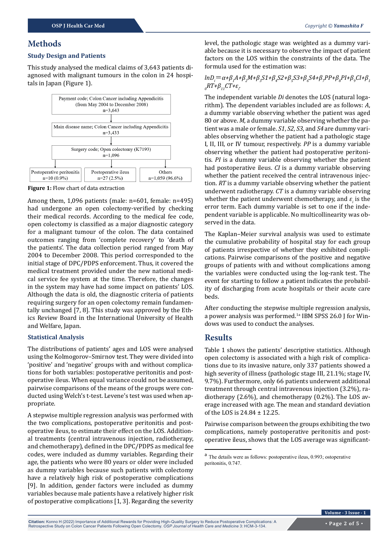### **Methods**

#### **Study Design and Patients**

This study analysed the medical claims of 3,643 patients diagnosed with malignant tumours in the colon in 24 hospitals in Japan (Figure 1).



**Figure 1:** Flow chart of data extraction

Among them, 1,096 patients (male: n=601, female: n=495) had undergone an open colectomy-verified by checking their medical records. According to the medical fee code, open colectomy is classified as a major diagnostic category for a malignant tumour of the colon. The data contained outcomes ranging from 'complete recovery' to 'death of the patients'. The data collection period ranged from May 2004 to December 2008. This period corresponded to the initial stage of DPC/PDPS enforcement. Thus, it covered the medical treatment provided under the new national medical service fee system at the time. Therefore, the changes in the system may have had some impact on patients' LOS. Although the data is old, the diagnostic criteria of patients requiring surgery for an open colectomy remain fundamentally unchanged [7, 8]. This study was approved by the Ethics Review Board in the International University of Health and Welfare, Japan.

#### **Statistical Analysis**

The distributions of patients' ages and LOS were analysed using the Kolmogorov–Smirnov test. They were divided into 'positive' and 'negative' groups with and without complications for both variables: postoperative peritonitis and postoperative ileus. When equal variance could not be assumed, pairwise comparisons of the means of the groups were conducted using Welch's t-test. Levene's test was used when appropriate.

A stepwise multiple regression analysis was performed with the two complications, postoperative peritonitis and postoperative ileus, to estimate their effect on the LOS. Additional treatments (central intravenous injection, radiotherapy, and chemotherapy), defined in the DPC/PDPS as medical fee codes, were included as dummy variables. Regarding their age, the patients who were 80 years or older were included as dummy variables because such patients with colectomy have a relatively high risk of postoperative complications [9]. In addition, gender factors were included as dummy variables because male patients have a relatively higher risk of postoperative complications [1, 3]. Regarding the severity level, the pathologic stage was weighted as a dummy variable because it is necessary to observe the impact of patient factors on the LOS within the constraints of the data. The formula used for the estimation was:

#### *lnD*<sub>*i*</sub></sub> $=$ α+β<sub>*1</sub>A+β<sub>2</sub>M+β<sub>3</sub>S1+β<sub>4</sub>S2+β<sub>5</sub>S3+β<sub>6</sub>S4+β<sub>7</sub>PP+β<sub>8</sub>PI+β<sub>9</sub>CI+β<sub>1</sub></sub> 0 RT+β11CT+ε<sup>i</sup> .*

The independent variable *Di* denotes the LOS (natural logarithm). The dependent variables included are as follows: *A*, a dummy variable observing whether the patient was aged 80 or above. *M*, a dummy variable observing whether the patient was a male or female. *S1*, *S2*, *S3*, and *S4* are dummy variables observing whether the patient had a pathologic stage I, II, III, or IV tumour, respectively. *PP* is a dummy variable observing whether the patient had postoperative peritonitis. *PI* is a dummy variable observing whether the patient had postoperative ileus. *CI* is a dummy variable observing whether the patient received the central intravenous injection. *RT* is a dummy variable observing whether the patient underwent radiotherapy. *CT* is a dummy variable observing whether the patient underwent chemotherapy, and  $\varepsilon$ <sub>*i*</sub> is the error term. Each dummy variable is set to one if the independent variable is applicable. No multicollinearity was observed in the data.

The Kaplan–Meier survival analysis was used to estimate the cumulative probability of hospital stay for each group of patients irrespective of whether they exhibited complications. Pairwise comparisons of the positive and negative groups of patients with and without complications among the variables were conducted using the log-rank test. The event for starting to follow a patient indicates the probability of discharging from acute hospitals or their acute care beds.

After conducting the stepwise multiple regression analysis, a power analysis was performed.<sup>1a</sup> IBM SPSS 26.0 J for Windows was used to conduct the analyses.

## **Results**

Table 1 shows the patients' descriptive statistics. Although open colectomy is associated with a high risk of complications due to its invasive nature, only 337 patients showed a high severity of illness (pathologic stage III, 21.1%; stage IV, 9.7%). Furthermore, only 66 patients underwent additional treatment through central intravenous injection (3.2%), radiotherapy (2.6%), and chemotherapy (0.2%). The LOS average increased with age. The mean and standard deviation of the LOS is 24.84 ± 12.25.

Pairwise comparison between the groups exhibiting the two complications, namely postoperative peritonitis and postoperative ileus, shows that the LOS average was significant-

<sup>a</sup> The details were as follows: postoperative ileus, 0.993; ostoperative peritonitis, 0.747.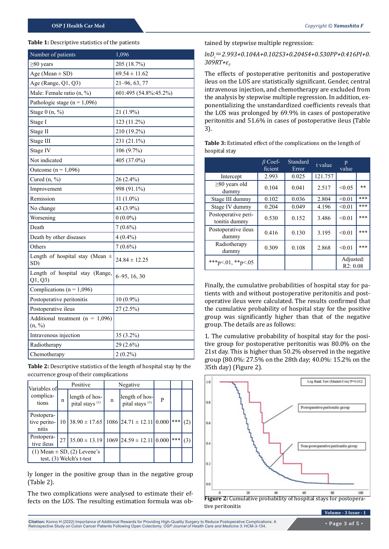#### **Table 1:** Descriptive statistics of the patients

| Number of patients                             | 1,096                 |
|------------------------------------------------|-----------------------|
| $\geq 80$ years                                | 205 (18.7%)           |
| Age (Mean $\pm$ SD)                            | $69.54 \pm 11.62$     |
| Age (Range, Q1, Q3)                            | $21-96, 63, 77$       |
| Male: Female ratio (n, %)                      | 601:495 (54.8%:45.2%) |
| Pathologic stage ( $n = 1,096$ )               |                       |
| Stage $0(n, %)$                                | 21 (1.9%)             |
| Stage I                                        | 123 (11.2%)           |
| Stage II                                       | 210 (19.2%)           |
| Stage III                                      | 231 (21.1%)           |
| Stage IV                                       | 106 (9.7%)            |
| Not indicated                                  | 405 (37.0%)           |
| Outcome ( $n = 1,096$ )                        |                       |
| Cured (n, %)                                   | 26 (2.4%)             |
| Improvement                                    | 998 (91.1%)           |
| Remission                                      | 11 $(1.0\%)$          |
| No change                                      | 43 (3.9%)             |
| Worsening                                      | $0(0.0\%)$            |
| Death                                          | $7(0.6\%)$            |
| Death by other diseases                        | $4(0.4\%)$            |
| Others                                         | $7(0.6\%)$            |
| Length of hospital stay (Mean $\pm$<br>SD)     | $24.84 \pm 12.25$     |
| Length of hospital stay (Range,<br>Q1, Q3      | $6-95, 16, 30$        |
| Complications ( $n = 1,096$ )                  |                       |
| Postoperative peritonitis                      | $10(0.9\%)$           |
| Postoperative ileus                            | $27(2.5\%)$           |
| Additional treatment ( $n = 1,096$ )<br>(n, %) |                       |
| Intravenous injection                          | 35 (3.2%)             |
| Radiotherapy                                   | 29 (2.6%)             |
| Chemotherapy                                   | $2(0.2\%)$            |

**Table 2:** Descriptive statistics of the length of hospital stay by the occurrence group of their complications

| Variables of<br>complica-<br>tions  | Positive |                                                                   | Negative |                                              |   |      |     |
|-------------------------------------|----------|-------------------------------------------------------------------|----------|----------------------------------------------|---|------|-----|
|                                     | n        | length of hos-<br>pital stays <sup>(1)</sup>                      | n        | length of hos-<br>pital stays <sup>(1)</sup> | P |      |     |
| Postopera-<br>tive perito-<br>nitis | 10       | $38.90 \pm 17.65$ 1086 24.71 $\pm$ 12.11 0.000                    |          |                                              |   | ▌⋇⋇⋇ |     |
| Postopera-<br>tive ileus            | 27       | $35.00 \pm 13.19 \mid 1069 \mid 24.59 \pm 12.11 \mid 0.000$       |          |                                              |   | ***  | (3) |
|                                     |          | $(1)$ Mean $\pm$ SD, $(2)$ Levene's<br>test, $(3)$ Welch's t-test |          |                                              |   |      |     |

ly longer in the positive group than in the negative group (Table 2).

The two complications were analysed to estimate their effects on the LOS. The resulting estimation formula was obtained by stepwise multiple regression:

#### *lnDi* =*2.993+0.104A+0.102S3+0.204S4+0.530PP+0.416PI+0. 309RT+ε<sup>i</sup> .*

The effects of postoperative peritonitis and postoperative ileus on the LOS are statistically significant. Gender, central intravenous injection, and chemotherapy are excluded from the analysis by stepwise multiple regression. In addition, exponentializing the unstandardized coefficients reveals that the LOS was prolonged by 69.9% in cases of postoperative peritonitis and 51.6% in cases of postoperative ileus (Table 3).

|                                      | $\beta$ Coef-<br>ficient | Standard<br>Error | t value | p<br>value            |     |
|--------------------------------------|--------------------------|-------------------|---------|-----------------------|-----|
| Intercept                            | 2.993                    | 0.025             | 121.757 |                       |     |
| $\geq 80$ years old<br>dummy         | 0.104                    | 0.041             | 2.517   | < 0.05                | **  |
| Stage III dummy                      | 0.102                    | 0.036             | 2.804   | < 0.01                | *** |
| Stage IV dummy                       | 0.204                    | 0.049             | 4.196   | < 0.01                | *** |
| Postoperative peri-<br>tonitis dummy | 0.530                    | 0.152             | 3.486   | < 0.01                | *** |
| Postoperative ileus<br>dummy         | 0.416                    | 0.130             | 3.195   | < 0.01                | *** |
| Radiotherapy<br>dummy                | 0.309                    | 0.108             | 2.868   | < 0.01                | *** |
| ***p<.01, **p<.05                    |                          |                   |         | Adjusted:<br>R2: 0.08 |     |

**Table 3:** Estimated effect of the complications on the length of hospital stay

Finally, the cumulative probabilities of hospital stay for patients with and without postoperative peritonitis and postoperative ileus were calculated. The results confirmed that the cumulative probability of hospital stay for the positive group was significantly higher than that of the negative group. The details are as follows:

1. The cumulative probability of hospital stay for the positive group for postoperative peritonitis was 80.0% on the 21st day. This is higher than 50.2% observed in the negative group (80.0%: 27.5% on the 28th day; 40.0%: 15.2% on the 35th day) (Figure 2).





**Citation:** Konno H (2022) Importance of Additional Rewards for Providing High-Quality Surgery to Reduce Postoperative Complications: A Retrospective Study on Colon Cancer Patients Following Open Colectomy. *OSP Journal of Health Care and Medicine* 3: HCM-3-134.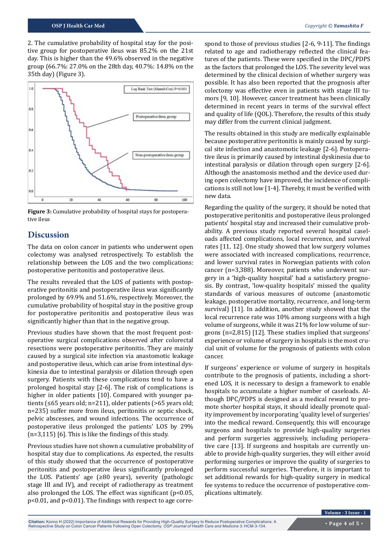2. The cumulative probability of hospital stay for the positive group for postoperative ileus was 85.2% on the 21st day. This is higher than the 49.6% observed in the negative group (66.7%: 27.0% on the 28th day, 40.7%: 14.8% on the 35th day) (Figure 3).



**Figure 3:** Cumulative probability of hospital stays for postoperative ileus

### **Discussion**

The data on colon cancer in patients who underwent open colectomy was analysed retrospectively. To establish the relationship between the LOS and the two complications: postoperative peritonitis and postoperative ileus.

The results revealed that the LOS of patients with postoperative peritonitis and postoperative ileus was significantly prolonged by 69.9% and 51.6%, respectively. Moreover, the cumulative probability of hospital stay in the positive group for postoperative peritonitis and postoperative ileus was significantly higher than that in the negative group.

Previous studies have shown that the most frequent postoperative surgical complications observed after colorectal resections were postoperative peritonitis. They are mainly caused by a surgical site infection via anastomotic leakage and postoperative ileus, which can arise from intestinal dyskinesia due to intestinal paralysis or dilation through open surgery. Patients with these complications tend to have a prolonged hospital stay [2-6]. The risk of complications is higher in older patients [10]. Compared with younger patients (≤65 years old; n=211), older patients (>65 years old; n=235) suffer more from ileus, peritonitis or septic shock, pelvic abscesses, and wound infections. The occurrence of postoperative ileus prolonged the patients' LOS by 29% (n=3,115) [6]. This is like the findings of this study.

Previous studies have not shown a cumulative probability of hospital stay due to complications. As expected, the results of this study showed that the occurrence of postoperative peritonitis and postoperative ileus significantly prolonged the LOS. Patients' age (≥80 years), severity (pathologic stage III and IV), and receipt of radiotherapy as treatment also prolonged the LOS. The effect was significant  $(p<0.05$ , p<0.01, and p<0.01). The findings with respect to age corre-

spond to those of previous studies [2-6, 9-11]. The findings related to age and radiotherapy reflected the clinical features of the patients. These were specified in the DPC/PDPS as the factors that prolonged the LOS. The severity level was determined by the clinical decision of whether surgery was possible. It has also been reported that the prognosis after colectomy was effective even in patients with stage III tumors [9, 10]. However, cancer treatment has been clinically determined in recent years in terms of the survival effect and quality of life (QOL). Therefore, the results of this study may differ from the current clinical judgment.

The results obtained in this study are medically explainable because postoperative peritonitis is mainly caused by surgical site infection and anastomotic leakage [2-6]. Postoperative ileus is primarily caused by intestinal dyskinesia due to intestinal paralysis or dilation through open surgery [2-6]. Although the anastomosis method and the device used during open colectomy have improved, the incidence of complications is still not low [1-4]. Thereby, it must be verified with new data.

Regarding the quality of the surgery, it should be noted that postoperative peritonitis and postoperative ileus prolonged patients' hospital stay and increased their cumulative probability. A previous study reported several hospital caseloads affected complications, local recurrence, and survival rates [11, 12]. One study showed that low surgery volumes were associated with increased complications, recurrence, and lower survival rates in Norwegian patients with colon cancer (n=3,388). Moreover, patients who underwent surgery in a 'high-quality hospital' had a satisfactory prognosis. By contrast, 'low-quality hospitals' missed the quality standards of various measures of outcome (anastomotic leakage, postoperative mortality, recurrence, and long-term survival) [11]. In addition, another study showed that the local recurrence rate was 10% among surgeons with a high volume of surgeons, while it was 21% for low volume of surgeons (n=2,815) [12]. These studies implied that surgeons' experience or volume of surgery in hospitals is the most crucial unit of volume for the prognosis of patients with colon cancer.

If surgeons' experience or volume of surgery in hospitals contribute to the prognosis of patients, including a shortened LOS, it is necessary to design a framework to enable hospitals to accumulate a higher number of caseloads. Although DPC/PDPS is designed as a medical reward to promote shorter hospital stays, it should ideally promote quality improvement by incorporating 'quality level of surgeries' into the medical reward. Consequently, this will encourage surgeons and hospitals to provide high-quality surgeries and perform surgeries aggressively, including perioperative care [13]. If surgeons and hospitals are currently unable to provide high-quality surgeries, they will either avoid performing surgeries or improve the quality of surgeries to perform successful surgeries. Therefore, it is important to set additional rewards for high-quality surgery in medical fee systems to reduce the occurrence of postoperative complications ultimately.